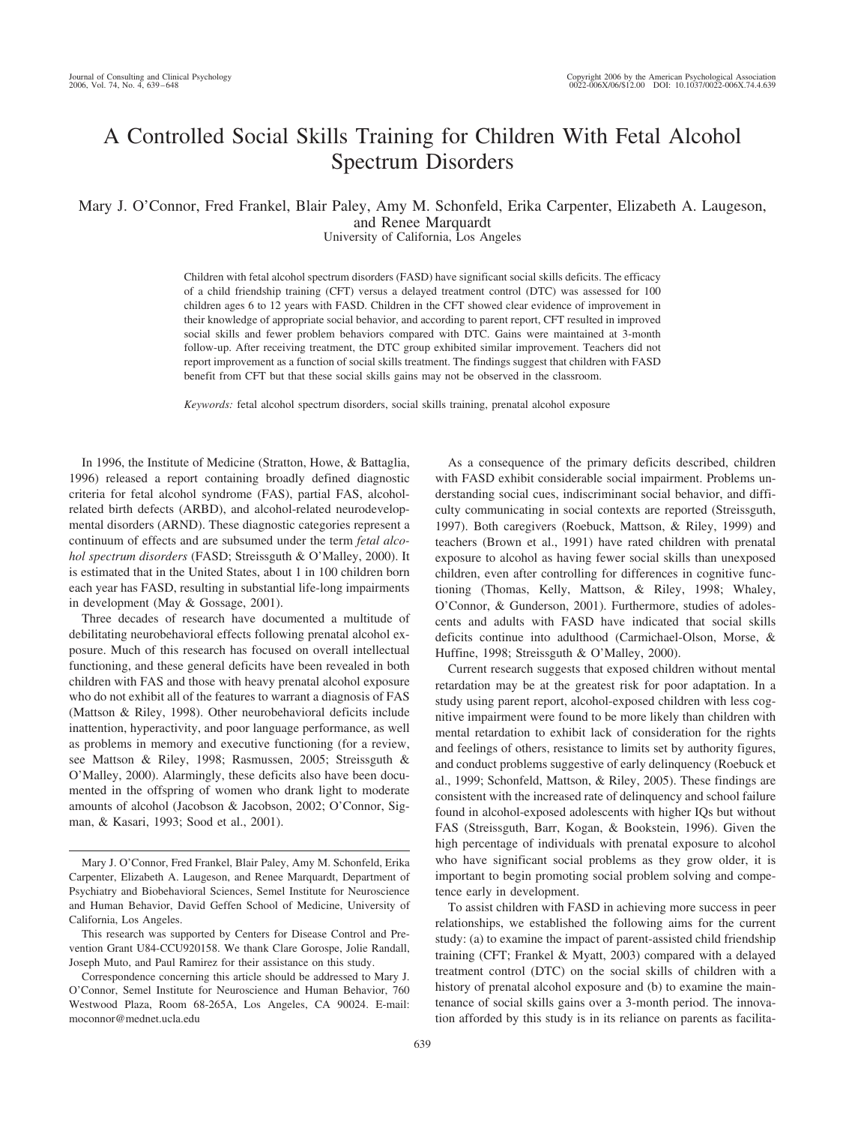# A Controlled Social Skills Training for Children With Fetal Alcohol Spectrum Disorders

Mary J. O'Connor, Fred Frankel, Blair Paley, Amy M. Schonfeld, Erika Carpenter, Elizabeth A. Laugeson, and Renee Marquardt

University of California, Los Angeles

Children with fetal alcohol spectrum disorders (FASD) have significant social skills deficits. The efficacy of a child friendship training (CFT) versus a delayed treatment control (DTC) was assessed for 100 children ages 6 to 12 years with FASD. Children in the CFT showed clear evidence of improvement in their knowledge of appropriate social behavior, and according to parent report, CFT resulted in improved social skills and fewer problem behaviors compared with DTC. Gains were maintained at 3-month follow-up. After receiving treatment, the DTC group exhibited similar improvement. Teachers did not report improvement as a function of social skills treatment. The findings suggest that children with FASD benefit from CFT but that these social skills gains may not be observed in the classroom.

*Keywords:* fetal alcohol spectrum disorders, social skills training, prenatal alcohol exposure

In 1996, the Institute of Medicine (Stratton, Howe, & Battaglia, 1996) released a report containing broadly defined diagnostic criteria for fetal alcohol syndrome (FAS), partial FAS, alcoholrelated birth defects (ARBD), and alcohol-related neurodevelopmental disorders (ARND). These diagnostic categories represent a continuum of effects and are subsumed under the term *fetal alcohol spectrum disorders* (FASD; Streissguth & O'Malley, 2000). It is estimated that in the United States, about 1 in 100 children born each year has FASD, resulting in substantial life-long impairments in development (May & Gossage, 2001).

Three decades of research have documented a multitude of debilitating neurobehavioral effects following prenatal alcohol exposure. Much of this research has focused on overall intellectual functioning, and these general deficits have been revealed in both children with FAS and those with heavy prenatal alcohol exposure who do not exhibit all of the features to warrant a diagnosis of FAS (Mattson & Riley, 1998). Other neurobehavioral deficits include inattention, hyperactivity, and poor language performance, as well as problems in memory and executive functioning (for a review, see Mattson & Riley, 1998; Rasmussen, 2005; Streissguth & O'Malley, 2000). Alarmingly, these deficits also have been documented in the offspring of women who drank light to moderate amounts of alcohol (Jacobson & Jacobson, 2002; O'Connor, Sigman, & Kasari, 1993; Sood et al., 2001).

This research was supported by Centers for Disease Control and Prevention Grant U84-CCU920158. We thank Clare Gorospe, Jolie Randall, Joseph Muto, and Paul Ramirez for their assistance on this study.

Correspondence concerning this article should be addressed to Mary J. O'Connor, Semel Institute for Neuroscience and Human Behavior, 760 Westwood Plaza, Room 68-265A, Los Angeles, CA 90024. E-mail: moconnor@mednet.ucla.edu

As a consequence of the primary deficits described, children with FASD exhibit considerable social impairment. Problems understanding social cues, indiscriminant social behavior, and difficulty communicating in social contexts are reported (Streissguth, 1997). Both caregivers (Roebuck, Mattson, & Riley, 1999) and teachers (Brown et al., 1991) have rated children with prenatal exposure to alcohol as having fewer social skills than unexposed children, even after controlling for differences in cognitive functioning (Thomas, Kelly, Mattson, & Riley, 1998; Whaley, O'Connor, & Gunderson, 2001). Furthermore, studies of adolescents and adults with FASD have indicated that social skills deficits continue into adulthood (Carmichael-Olson, Morse, & Huffine, 1998; Streissguth & O'Malley, 2000).

Current research suggests that exposed children without mental retardation may be at the greatest risk for poor adaptation. In a study using parent report, alcohol-exposed children with less cognitive impairment were found to be more likely than children with mental retardation to exhibit lack of consideration for the rights and feelings of others, resistance to limits set by authority figures, and conduct problems suggestive of early delinquency (Roebuck et al., 1999; Schonfeld, Mattson, & Riley, 2005). These findings are consistent with the increased rate of delinquency and school failure found in alcohol-exposed adolescents with higher IQs but without FAS (Streissguth, Barr, Kogan, & Bookstein, 1996). Given the high percentage of individuals with prenatal exposure to alcohol who have significant social problems as they grow older, it is important to begin promoting social problem solving and competence early in development.

To assist children with FASD in achieving more success in peer relationships, we established the following aims for the current study: (a) to examine the impact of parent-assisted child friendship training (CFT; Frankel & Myatt, 2003) compared with a delayed treatment control (DTC) on the social skills of children with a history of prenatal alcohol exposure and (b) to examine the maintenance of social skills gains over a 3-month period. The innovation afforded by this study is in its reliance on parents as facilita-

Mary J. O'Connor, Fred Frankel, Blair Paley, Amy M. Schonfeld, Erika Carpenter, Elizabeth A. Laugeson, and Renee Marquardt, Department of Psychiatry and Biobehavioral Sciences, Semel Institute for Neuroscience and Human Behavior, David Geffen School of Medicine, University of California, Los Angeles.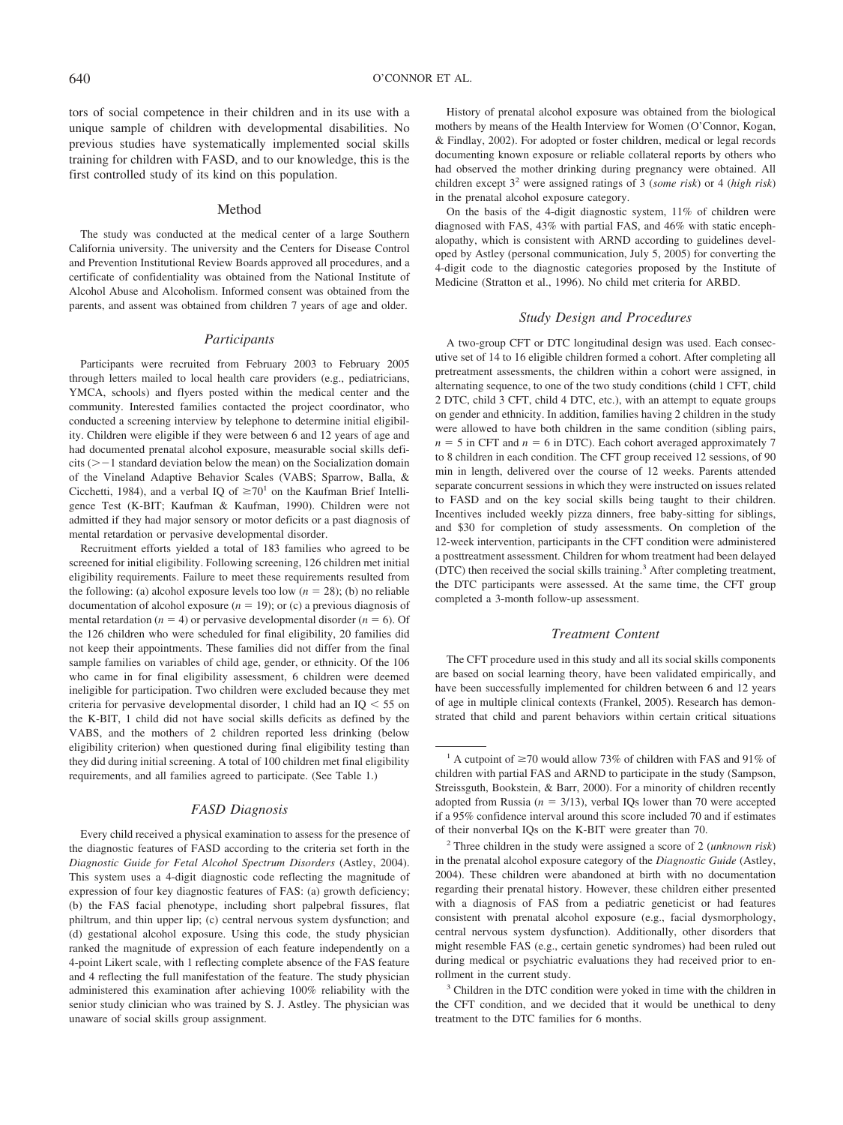tors of social competence in their children and in its use with a unique sample of children with developmental disabilities. No previous studies have systematically implemented social skills training for children with FASD, and to our knowledge, this is the first controlled study of its kind on this population.

### Method

The study was conducted at the medical center of a large Southern California university. The university and the Centers for Disease Control and Prevention Institutional Review Boards approved all procedures, and a certificate of confidentiality was obtained from the National Institute of Alcohol Abuse and Alcoholism. Informed consent was obtained from the parents, and assent was obtained from children 7 years of age and older.

#### *Participants*

Participants were recruited from February 2003 to February 2005 through letters mailed to local health care providers (e.g., pediatricians, YMCA, schools) and flyers posted within the medical center and the community. Interested families contacted the project coordinator, who conducted a screening interview by telephone to determine initial eligibility. Children were eligible if they were between 6 and 12 years of age and had documented prenatal alcohol exposure, measurable social skills defi $c$ its ( $\geq -1$  standard deviation below the mean) on the Socialization domain of the Vineland Adaptive Behavior Scales (VABS; Sparrow, Balla, & Cicchetti, 1984), and a verbal IQ of  $\geq 70^1$  on the Kaufman Brief Intelligence Test (K-BIT; Kaufman & Kaufman, 1990). Children were not admitted if they had major sensory or motor deficits or a past diagnosis of mental retardation or pervasive developmental disorder.

Recruitment efforts yielded a total of 183 families who agreed to be screened for initial eligibility. Following screening, 126 children met initial eligibility requirements. Failure to meet these requirements resulted from the following: (a) alcohol exposure levels too low  $(n = 28)$ ; (b) no reliable documentation of alcohol exposure  $(n = 19)$ ; or (c) a previous diagnosis of mental retardation ( $n = 4$ ) or pervasive developmental disorder ( $n = 6$ ). Of the 126 children who were scheduled for final eligibility, 20 families did not keep their appointments. These families did not differ from the final sample families on variables of child age, gender, or ethnicity. Of the 106 who came in for final eligibility assessment, 6 children were deemed ineligible for participation. Two children were excluded because they met criteria for pervasive developmental disorder, 1 child had an  $IQ < 55$  on the K-BIT, 1 child did not have social skills deficits as defined by the VABS, and the mothers of 2 children reported less drinking (below eligibility criterion) when questioned during final eligibility testing than they did during initial screening. A total of 100 children met final eligibility requirements, and all families agreed to participate. (See Table 1.)

### *FASD Diagnosis*

Every child received a physical examination to assess for the presence of the diagnostic features of FASD according to the criteria set forth in the *Diagnostic Guide for Fetal Alcohol Spectrum Disorders* (Astley, 2004). This system uses a 4-digit diagnostic code reflecting the magnitude of expression of four key diagnostic features of FAS: (a) growth deficiency; (b) the FAS facial phenotype, including short palpebral fissures, flat philtrum, and thin upper lip; (c) central nervous system dysfunction; and (d) gestational alcohol exposure. Using this code, the study physician ranked the magnitude of expression of each feature independently on a 4-point Likert scale, with 1 reflecting complete absence of the FAS feature and 4 reflecting the full manifestation of the feature. The study physician administered this examination after achieving 100% reliability with the senior study clinician who was trained by S. J. Astley. The physician was unaware of social skills group assignment.

History of prenatal alcohol exposure was obtained from the biological mothers by means of the Health Interview for Women (O'Connor, Kogan, & Findlay, 2002). For adopted or foster children, medical or legal records documenting known exposure or reliable collateral reports by others who had observed the mother drinking during pregnancy were obtained. All children except 32 were assigned ratings of 3 (*some risk*) or 4 (*high risk*) in the prenatal alcohol exposure category.

On the basis of the 4-digit diagnostic system, 11% of children were diagnosed with FAS, 43% with partial FAS, and 46% with static encephalopathy, which is consistent with ARND according to guidelines developed by Astley (personal communication, July 5, 2005) for converting the 4-digit code to the diagnostic categories proposed by the Institute of Medicine (Stratton et al., 1996). No child met criteria for ARBD.

### *Study Design and Procedures*

A two-group CFT or DTC longitudinal design was used. Each consecutive set of 14 to 16 eligible children formed a cohort. After completing all pretreatment assessments, the children within a cohort were assigned, in alternating sequence, to one of the two study conditions (child 1 CFT, child 2 DTC, child 3 CFT, child 4 DTC, etc.), with an attempt to equate groups on gender and ethnicity. In addition, families having 2 children in the study were allowed to have both children in the same condition (sibling pairs,  $n = 5$  in CFT and  $n = 6$  in DTC). Each cohort averaged approximately 7 to 8 children in each condition. The CFT group received 12 sessions, of 90 min in length, delivered over the course of 12 weeks. Parents attended separate concurrent sessions in which they were instructed on issues related to FASD and on the key social skills being taught to their children. Incentives included weekly pizza dinners, free baby-sitting for siblings, and \$30 for completion of study assessments. On completion of the 12-week intervention, participants in the CFT condition were administered a posttreatment assessment. Children for whom treatment had been delayed (DTC) then received the social skills training.3 After completing treatment, the DTC participants were assessed. At the same time, the CFT group completed a 3-month follow-up assessment.

# *Treatment Content*

The CFT procedure used in this study and all its social skills components are based on social learning theory, have been validated empirically, and have been successfully implemented for children between 6 and 12 years of age in multiple clinical contexts (Frankel, 2005). Research has demonstrated that child and parent behaviors within certain critical situations

<sup>&</sup>lt;sup>1</sup> A cutpoint of  $\geq$  70 would allow 73% of children with FAS and 91% of children with partial FAS and ARND to participate in the study (Sampson, Streissguth, Bookstein, & Barr, 2000). For a minority of children recently adopted from Russia ( $n = 3/13$ ), verbal IQs lower than 70 were accepted if a 95% confidence interval around this score included 70 and if estimates of their nonverbal IQs on the K-BIT were greater than 70.

<sup>2</sup> Three children in the study were assigned a score of 2 (*unknown risk*) in the prenatal alcohol exposure category of the *Diagnostic Guide* (Astley, 2004). These children were abandoned at birth with no documentation regarding their prenatal history. However, these children either presented with a diagnosis of FAS from a pediatric geneticist or had features consistent with prenatal alcohol exposure (e.g., facial dysmorphology, central nervous system dysfunction). Additionally, other disorders that might resemble FAS (e.g., certain genetic syndromes) had been ruled out during medical or psychiatric evaluations they had received prior to enrollment in the current study.

<sup>&</sup>lt;sup>3</sup> Children in the DTC condition were yoked in time with the children in the CFT condition, and we decided that it would be unethical to deny treatment to the DTC families for 6 months.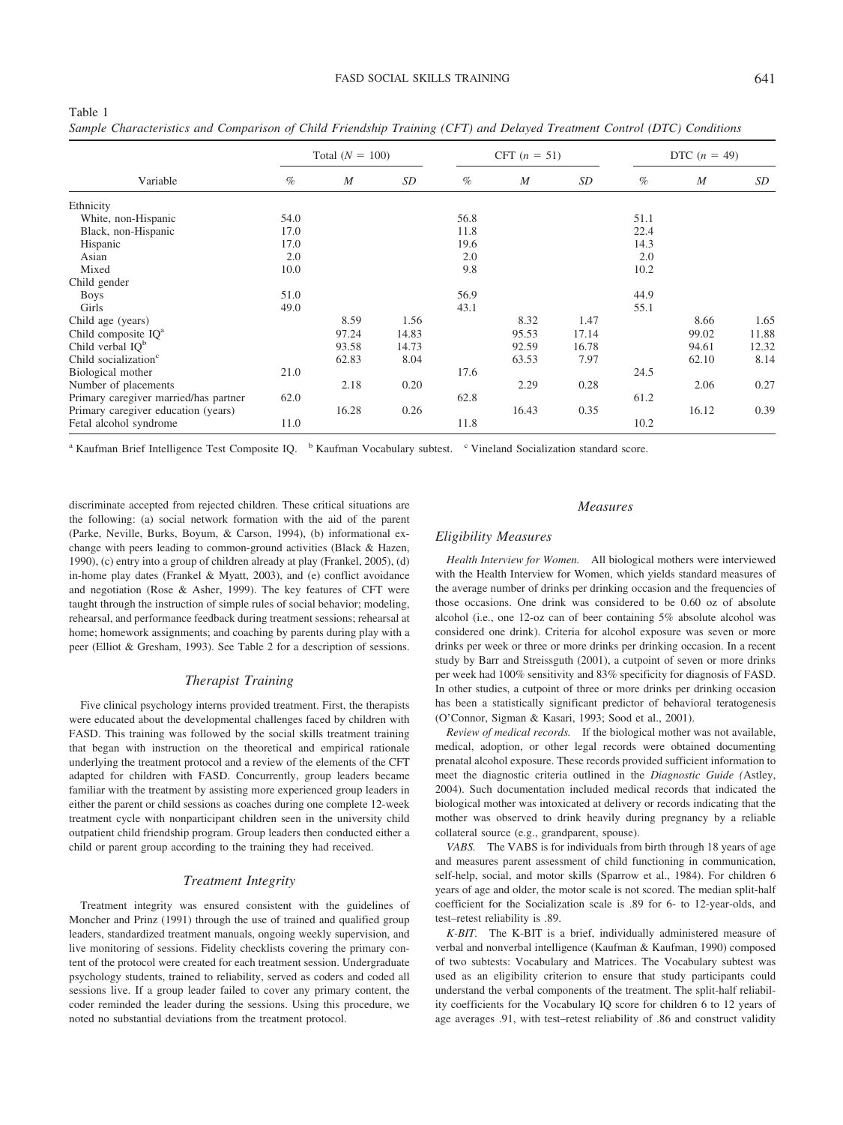|                                       |                   |       | $\cup$ $\top$ |                |                  |                |      |                  |       |
|---------------------------------------|-------------------|-------|---------------|----------------|------------------|----------------|------|------------------|-------|
|                                       | Total $(N = 100)$ |       |               | CFT $(n = 51)$ |                  | DTC $(n = 49)$ |      |                  |       |
| Variable                              | $\%$              | M     | SD            | $\%$           | $\boldsymbol{M}$ | SD             | $\%$ | $\boldsymbol{M}$ | SD    |
| Ethnicity                             |                   |       |               |                |                  |                |      |                  |       |
| White, non-Hispanic                   | 54.0              |       |               | 56.8           |                  |                | 51.1 |                  |       |
| Black, non-Hispanic                   | 17.0              |       |               | 11.8           |                  |                | 22.4 |                  |       |
| Hispanic                              | 17.0              |       |               | 19.6           |                  |                | 14.3 |                  |       |
| Asian                                 | 2.0               |       |               | 2.0            |                  |                | 2.0  |                  |       |
| Mixed                                 | 10.0              |       |               | 9.8            |                  |                | 10.2 |                  |       |
| Child gender                          |                   |       |               |                |                  |                |      |                  |       |
| <b>Boys</b>                           | 51.0              |       |               | 56.9           |                  |                | 44.9 |                  |       |
| Girls                                 | 49.0              |       |               | 43.1           |                  |                | 55.1 |                  |       |
| Child age (years)                     |                   | 8.59  | 1.56          |                | 8.32             | 1.47           |      | 8.66             | 1.65  |
| Child composite $IQa$                 |                   | 97.24 | 14.83         |                | 95.53            | 17.14          |      | 99.02            | 11.88 |
| Child verbal $IOb$                    |                   | 93.58 | 14.73         |                | 92.59            | 16.78          |      | 94.61            | 12.32 |
| Child socialization <sup>c</sup>      |                   | 62.83 | 8.04          |                | 63.53            | 7.97           |      | 62.10            | 8.14  |
| Biological mother                     | 21.0              |       |               | 17.6           |                  |                | 24.5 |                  |       |
| Number of placements                  |                   | 2.18  | 0.20          |                | 2.29             | 0.28           |      | 2.06             | 0.27  |
| Primary caregiver married/has partner | 62.0              |       |               | 62.8           |                  |                | 61.2 |                  |       |
| Primary caregiver education (years)   |                   | 16.28 | 0.26          |                | 16.43            | 0.35           |      | 16.12            | 0.39  |
| Fetal alcohol syndrome                | 11.0              |       |               | 11.8           |                  |                | 10.2 |                  |       |

*Sample Characteristics and Comparison of Child Friendship Training (CFT) and Delayed Treatment Control (DTC) Conditions*

<sup>a</sup> Kaufman Brief Intelligence Test Composite IQ. <sup>b</sup> Kaufman Vocabulary subtest. <sup>c</sup> Vineland Socialization standard score.

discriminate accepted from rejected children. These critical situations are the following: (a) social network formation with the aid of the parent (Parke, Neville, Burks, Boyum, & Carson, 1994), (b) informational exchange with peers leading to common-ground activities (Black & Hazen, 1990), (c) entry into a group of children already at play (Frankel, 2005), (d) in-home play dates (Frankel & Myatt, 2003), and (e) conflict avoidance and negotiation (Rose & Asher, 1999). The key features of CFT were taught through the instruction of simple rules of social behavior; modeling, rehearsal, and performance feedback during treatment sessions; rehearsal at home; homework assignments; and coaching by parents during play with a peer (Elliot & Gresham, 1993). See Table 2 for a description of sessions.

Table 1

### *Therapist Training*

Five clinical psychology interns provided treatment. First, the therapists were educated about the developmental challenges faced by children with FASD. This training was followed by the social skills treatment training that began with instruction on the theoretical and empirical rationale underlying the treatment protocol and a review of the elements of the CFT adapted for children with FASD. Concurrently, group leaders became familiar with the treatment by assisting more experienced group leaders in either the parent or child sessions as coaches during one complete 12-week treatment cycle with nonparticipant children seen in the university child outpatient child friendship program. Group leaders then conducted either a child or parent group according to the training they had received.

# *Treatment Integrity*

Treatment integrity was ensured consistent with the guidelines of Moncher and Prinz (1991) through the use of trained and qualified group leaders, standardized treatment manuals, ongoing weekly supervision, and live monitoring of sessions. Fidelity checklists covering the primary content of the protocol were created for each treatment session. Undergraduate psychology students, trained to reliability, served as coders and coded all sessions live. If a group leader failed to cover any primary content, the coder reminded the leader during the sessions. Using this procedure, we noted no substantial deviations from the treatment protocol.

### *Measures*

# *Eligibility Measures*

*Health Interview for Women.* All biological mothers were interviewed with the Health Interview for Women, which yields standard measures of the average number of drinks per drinking occasion and the frequencies of those occasions. One drink was considered to be 0.60 oz of absolute alcohol (i.e., one 12-oz can of beer containing 5% absolute alcohol was considered one drink). Criteria for alcohol exposure was seven or more drinks per week or three or more drinks per drinking occasion. In a recent study by Barr and Streissguth (2001), a cutpoint of seven or more drinks per week had 100% sensitivity and 83% specificity for diagnosis of FASD. In other studies, a cutpoint of three or more drinks per drinking occasion has been a statistically significant predictor of behavioral teratogenesis (O'Connor, Sigman & Kasari, 1993; Sood et al., 2001).

*Review of medical records.* If the biological mother was not available, medical, adoption, or other legal records were obtained documenting prenatal alcohol exposure. These records provided sufficient information to meet the diagnostic criteria outlined in the *Diagnostic Guide (*Astley, 2004). Such documentation included medical records that indicated the biological mother was intoxicated at delivery or records indicating that the mother was observed to drink heavily during pregnancy by a reliable collateral source (e.g., grandparent, spouse).

*VABS.* The VABS is for individuals from birth through 18 years of age and measures parent assessment of child functioning in communication, self-help, social, and motor skills (Sparrow et al., 1984). For children 6 years of age and older, the motor scale is not scored. The median split-half coefficient for the Socialization scale is .89 for 6- to 12-year-olds, and test–retest reliability is .89.

*K-BIT.* The K-BIT is a brief, individually administered measure of verbal and nonverbal intelligence (Kaufman & Kaufman, 1990) composed of two subtests: Vocabulary and Matrices. The Vocabulary subtest was used as an eligibility criterion to ensure that study participants could understand the verbal components of the treatment. The split-half reliability coefficients for the Vocabulary IQ score for children 6 to 12 years of age averages .91, with test–retest reliability of .86 and construct validity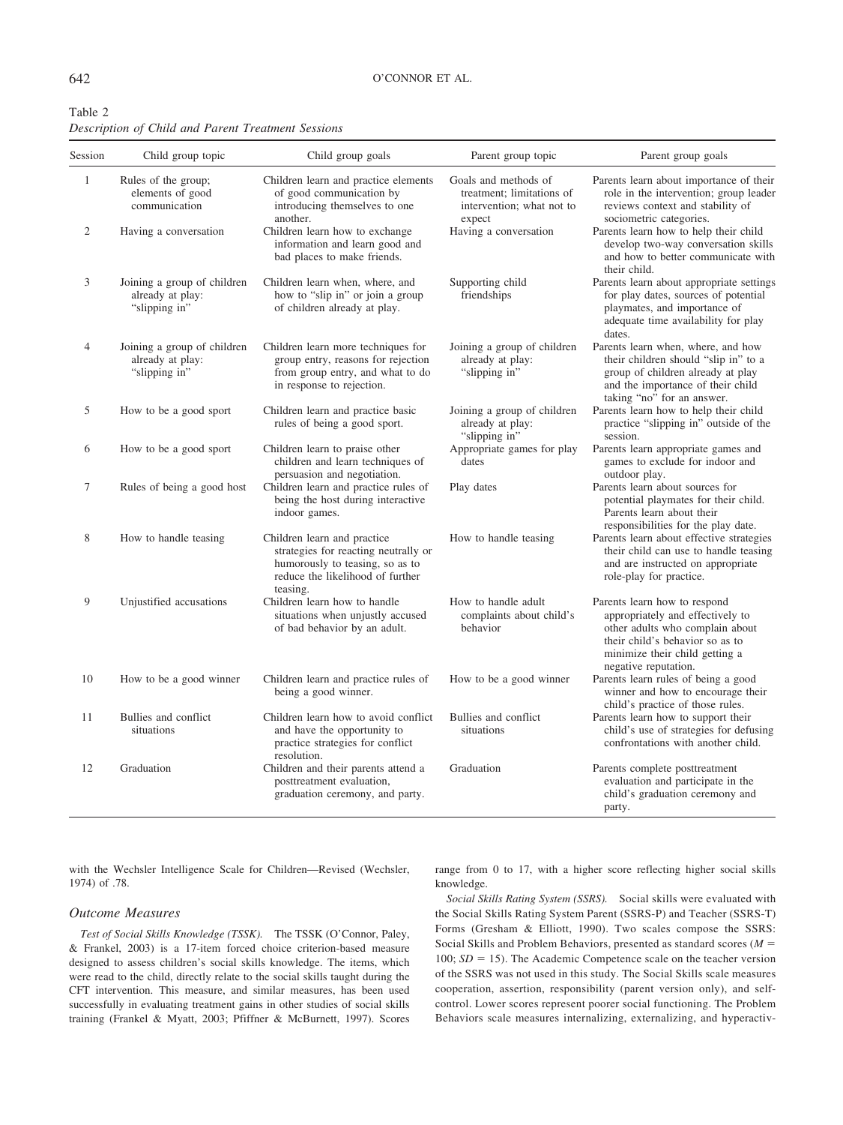### 642 O'CONNOR ET AL.

| Table 2                                            |  |  |  |
|----------------------------------------------------|--|--|--|
| Description of Child and Parent Treatment Sessions |  |  |  |

| Session        | Child group topic                                                | Child group goals                                                                                                                                      | Parent group topic                                                                       | Parent group goals                                                                                                                                                                               |
|----------------|------------------------------------------------------------------|--------------------------------------------------------------------------------------------------------------------------------------------------------|------------------------------------------------------------------------------------------|--------------------------------------------------------------------------------------------------------------------------------------------------------------------------------------------------|
| $\mathbf{1}$   | Rules of the group;<br>elements of good<br>communication         | Children learn and practice elements<br>of good communication by<br>introducing themselves to one<br>another.                                          | Goals and methods of<br>treatment: limitations of<br>intervention; what not to<br>expect | Parents learn about importance of their<br>role in the intervention; group leader<br>reviews context and stability of<br>sociometric categories.                                                 |
| $\overline{c}$ | Having a conversation                                            | Children learn how to exchange<br>information and learn good and<br>bad places to make friends.                                                        | Having a conversation                                                                    | Parents learn how to help their child<br>develop two-way conversation skills<br>and how to better communicate with<br>their child.                                                               |
| 3              | Joining a group of children<br>already at play:<br>"slipping in" | Children learn when, where, and<br>how to "slip in" or join a group<br>of children already at play.                                                    | Supporting child<br>friendships                                                          | Parents learn about appropriate settings<br>for play dates, sources of potential<br>playmates, and importance of<br>adequate time availability for play<br>dates.                                |
| 4              | Joining a group of children<br>already at play:<br>"slipping in" | Children learn more techniques for<br>group entry, reasons for rejection<br>from group entry, and what to do<br>in response to rejection.              | Joining a group of children<br>already at play:<br>"slipping in"                         | Parents learn when, where, and how<br>their children should "slip in" to a<br>group of children already at play<br>and the importance of their child<br>taking "no" for an answer.               |
| 5              | How to be a good sport                                           | Children learn and practice basic<br>rules of being a good sport.                                                                                      | Joining a group of children<br>already at play:<br>"slipping in"                         | Parents learn how to help their child<br>practice "slipping in" outside of the<br>session.                                                                                                       |
| 6              | How to be a good sport                                           | Children learn to praise other<br>children and learn techniques of<br>persuasion and negotiation.                                                      | Appropriate games for play<br>dates                                                      | Parents learn appropriate games and<br>games to exclude for indoor and<br>outdoor play.                                                                                                          |
| $\tau$         | Rules of being a good host                                       | Children learn and practice rules of<br>being the host during interactive<br>indoor games.                                                             | Play dates                                                                               | Parents learn about sources for<br>potential playmates for their child.<br>Parents learn about their<br>responsibilities for the play date.                                                      |
| 8              | How to handle teasing                                            | Children learn and practice<br>strategies for reacting neutrally or<br>humorously to teasing, so as to<br>reduce the likelihood of further<br>teasing. | How to handle teasing                                                                    | Parents learn about effective strategies<br>their child can use to handle teasing<br>and are instructed on appropriate<br>role-play for practice.                                                |
| 9              | Unjustified accusations                                          | Children learn how to handle<br>situations when unjustly accused<br>of bad behavior by an adult.                                                       | How to handle adult<br>complaints about child's<br>behavior                              | Parents learn how to respond<br>appropriately and effectively to<br>other adults who complain about<br>their child's behavior so as to<br>minimize their child getting a<br>negative reputation. |
| 10             | How to be a good winner                                          | Children learn and practice rules of<br>being a good winner.                                                                                           | How to be a good winner                                                                  | Parents learn rules of being a good<br>winner and how to encourage their<br>child's practice of those rules.                                                                                     |
| 11             | Bullies and conflict<br>situations                               | Children learn how to avoid conflict<br>and have the opportunity to<br>practice strategies for conflict<br>resolution.                                 | Bullies and conflict<br>situations                                                       | Parents learn how to support their<br>child's use of strategies for defusing<br>confrontations with another child.                                                                               |
| 12             | Graduation                                                       | Children and their parents attend a<br>posttreatment evaluation,<br>graduation ceremony, and party.                                                    | Graduation                                                                               | Parents complete posttreatment<br>evaluation and participate in the<br>child's graduation ceremony and<br>party.                                                                                 |

with the Wechsler Intelligence Scale for Children—Revised (Wechsler, 1974) of .78.

range from 0 to 17, with a higher score reflecting higher social skills knowledge.

# *Outcome Measures*

*Test of Social Skills Knowledge (TSSK).* The TSSK (O'Connor, Paley, & Frankel, 2003) is a 17-item forced choice criterion-based measure designed to assess children's social skills knowledge. The items, which were read to the child, directly relate to the social skills taught during the CFT intervention. This measure, and similar measures, has been used successfully in evaluating treatment gains in other studies of social skills training (Frankel & Myatt, 2003; Pfiffner & McBurnett, 1997). Scores

*Social Skills Rating System (SSRS).* Social skills were evaluated with the Social Skills Rating System Parent (SSRS-P) and Teacher (SSRS-T) Forms (Gresham & Elliott, 1990). Two scales compose the SSRS: Social Skills and Problem Behaviors, presented as standard scores (*M* 100;  $SD = 15$ ). The Academic Competence scale on the teacher version of the SSRS was not used in this study. The Social Skills scale measures cooperation, assertion, responsibility (parent version only), and selfcontrol. Lower scores represent poorer social functioning. The Problem Behaviors scale measures internalizing, externalizing, and hyperactiv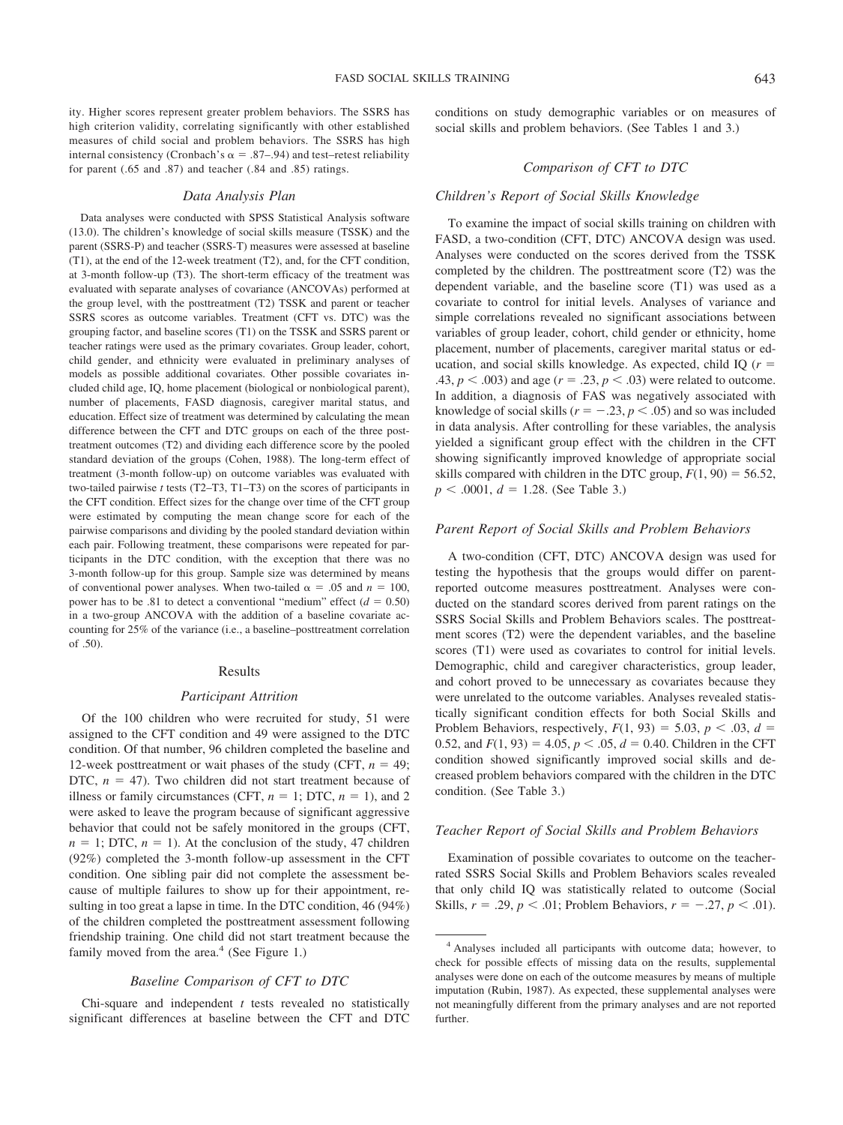ity. Higher scores represent greater problem behaviors. The SSRS has high criterion validity, correlating significantly with other established measures of child social and problem behaviors. The SSRS has high internal consistency (Cronbach's  $\alpha$  = .87–.94) and test–retest reliability for parent (.65 and .87) and teacher (.84 and .85) ratings.

#### *Data Analysis Plan*

Data analyses were conducted with SPSS Statistical Analysis software (13.0). The children's knowledge of social skills measure (TSSK) and the parent (SSRS-P) and teacher (SSRS-T) measures were assessed at baseline (T1), at the end of the 12-week treatment (T2), and, for the CFT condition, at 3-month follow-up (T3). The short-term efficacy of the treatment was evaluated with separate analyses of covariance (ANCOVAs) performed at the group level, with the posttreatment (T2) TSSK and parent or teacher SSRS scores as outcome variables. Treatment (CFT vs. DTC) was the grouping factor, and baseline scores (T1) on the TSSK and SSRS parent or teacher ratings were used as the primary covariates. Group leader, cohort, child gender, and ethnicity were evaluated in preliminary analyses of models as possible additional covariates. Other possible covariates included child age, IQ, home placement (biological or nonbiological parent), number of placements, FASD diagnosis, caregiver marital status, and education. Effect size of treatment was determined by calculating the mean difference between the CFT and DTC groups on each of the three posttreatment outcomes (T2) and dividing each difference score by the pooled standard deviation of the groups (Cohen, 1988). The long-term effect of treatment (3-month follow-up) on outcome variables was evaluated with two-tailed pairwise *t* tests (T2–T3, T1–T3) on the scores of participants in the CFT condition. Effect sizes for the change over time of the CFT group were estimated by computing the mean change score for each of the pairwise comparisons and dividing by the pooled standard deviation within each pair. Following treatment, these comparisons were repeated for participants in the DTC condition, with the exception that there was no 3-month follow-up for this group. Sample size was determined by means of conventional power analyses. When two-tailed  $\alpha = .05$  and  $n = 100$ , power has to be .81 to detect a conventional "medium" effect  $(d = 0.50)$ in a two-group ANCOVA with the addition of a baseline covariate accounting for 25% of the variance (i.e., a baseline–posttreatment correlation of .50).

### Results

### *Participant Attrition*

Of the 100 children who were recruited for study, 51 were assigned to the CFT condition and 49 were assigned to the DTC condition. Of that number, 96 children completed the baseline and 12-week posttreatment or wait phases of the study (CFT,  $n = 49$ ; DTC,  $n = 47$ ). Two children did not start treatment because of illness or family circumstances (CFT,  $n = 1$ ; DTC,  $n = 1$ ), and 2 were asked to leave the program because of significant aggressive behavior that could not be safely monitored in the groups (CFT,  $n = 1$ ; DTC,  $n = 1$ ). At the conclusion of the study, 47 children (92%) completed the 3-month follow-up assessment in the CFT condition. One sibling pair did not complete the assessment because of multiple failures to show up for their appointment, resulting in too great a lapse in time. In the DTC condition, 46 (94%) of the children completed the posttreatment assessment following friendship training. One child did not start treatment because the family moved from the area. $4$  (See Figure 1.)

# *Baseline Comparison of CFT to DTC*

Chi-square and independent *t* tests revealed no statistically significant differences at baseline between the CFT and DTC conditions on study demographic variables or on measures of social skills and problem behaviors. (See Tables 1 and 3.)

# *Comparison of CFT to DTC*

# *Children's Report of Social Skills Knowledge*

To examine the impact of social skills training on children with FASD, a two-condition (CFT, DTC) ANCOVA design was used. Analyses were conducted on the scores derived from the TSSK completed by the children. The posttreatment score (T2) was the dependent variable, and the baseline score (T1) was used as a covariate to control for initial levels. Analyses of variance and simple correlations revealed no significant associations between variables of group leader, cohort, child gender or ethnicity, home placement, number of placements, caregiver marital status or education, and social skills knowledge. As expected, child IQ (*r* .43,  $p < .003$ ) and age ( $r = .23$ ,  $p < .03$ ) were related to outcome. In addition, a diagnosis of FAS was negatively associated with knowledge of social skills ( $r = -.23$ ,  $p < .05$ ) and so was included in data analysis. After controlling for these variables, the analysis yielded a significant group effect with the children in the CFT showing significantly improved knowledge of appropriate social skills compared with children in the DTC group,  $F(1, 90) = 56.52$ ,  $p < .0001, d = 1.28$ . (See Table 3.)

# *Parent Report of Social Skills and Problem Behaviors*

A two-condition (CFT, DTC) ANCOVA design was used for testing the hypothesis that the groups would differ on parentreported outcome measures posttreatment. Analyses were conducted on the standard scores derived from parent ratings on the SSRS Social Skills and Problem Behaviors scales. The posttreatment scores (T2) were the dependent variables, and the baseline scores (T1) were used as covariates to control for initial levels. Demographic, child and caregiver characteristics, group leader, and cohort proved to be unnecessary as covariates because they were unrelated to the outcome variables. Analyses revealed statistically significant condition effects for both Social Skills and Problem Behaviors, respectively,  $F(1, 93) = 5.03$ ,  $p < .03$ ,  $d =$ 0.52, and  $F(1, 93) = 4.05$ ,  $p < .05$ ,  $d = 0.40$ . Children in the CFT condition showed significantly improved social skills and decreased problem behaviors compared with the children in the DTC condition. (See Table 3.)

### *Teacher Report of Social Skills and Problem Behaviors*

Examination of possible covariates to outcome on the teacherrated SSRS Social Skills and Problem Behaviors scales revealed that only child IQ was statistically related to outcome (Social Skills,  $r = .29$ ,  $p < .01$ ; Problem Behaviors,  $r = -.27$ ,  $p < .01$ ).

<sup>4</sup> Analyses included all participants with outcome data; however, to check for possible effects of missing data on the results, supplemental analyses were done on each of the outcome measures by means of multiple imputation (Rubin, 1987). As expected, these supplemental analyses were not meaningfully different from the primary analyses and are not reported further.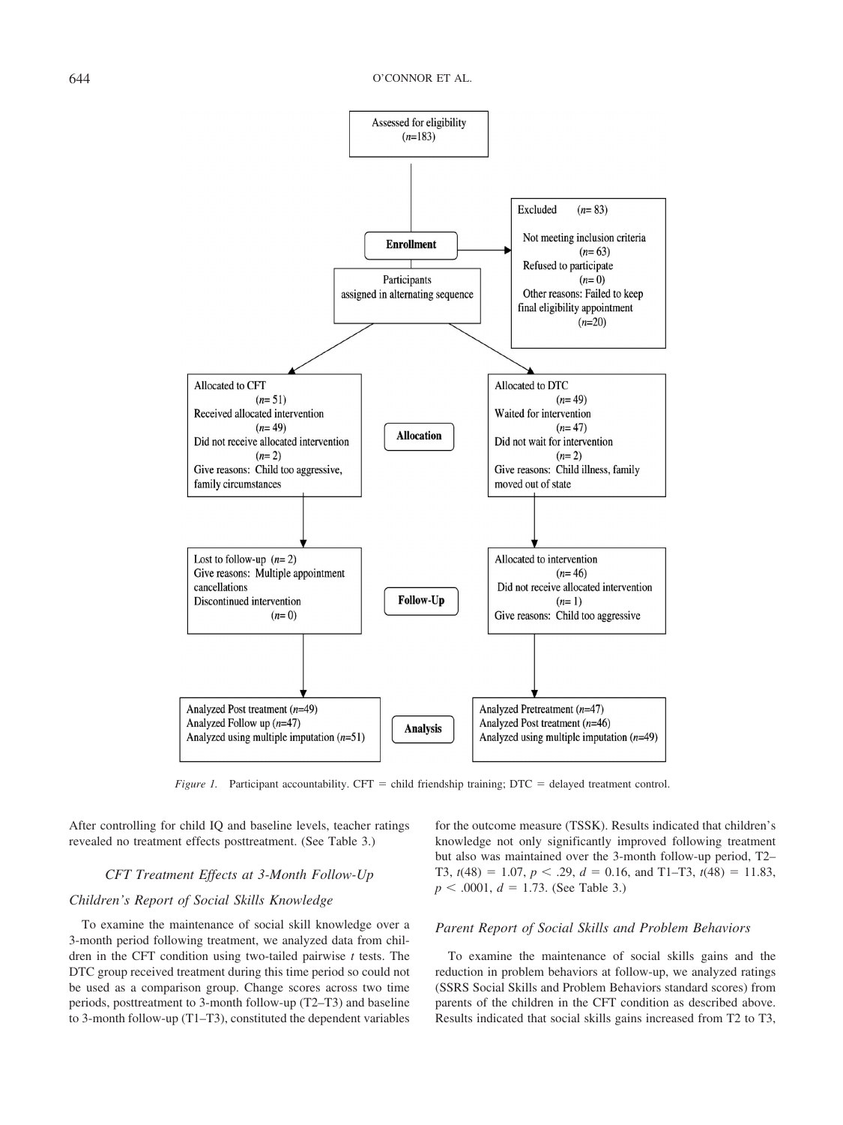

*Figure 1.* Participant accountability. CFT = child friendship training; DTC = delayed treatment control.

After controlling for child IQ and baseline levels, teacher ratings revealed no treatment effects posttreatment. (See Table 3.)

# *CFT Treatment Effects at 3-Month Follow-Up*

# *Children's Report of Social Skills Knowledge*

To examine the maintenance of social skill knowledge over a 3-month period following treatment, we analyzed data from children in the CFT condition using two-tailed pairwise *t* tests. The DTC group received treatment during this time period so could not be used as a comparison group. Change scores across two time periods, posttreatment to 3-month follow-up (T2–T3) and baseline to 3-month follow-up (T1–T3), constituted the dependent variables

for the outcome measure (TSSK). Results indicated that children's knowledge not only significantly improved following treatment but also was maintained over the 3-month follow-up period, T2– T3,  $t(48) = 1.07$ ,  $p < .29$ ,  $d = 0.16$ , and T1–T3,  $t(48) = 11.83$ ,  $p < .0001, d = 1.73$ . (See Table 3.)

# *Parent Report of Social Skills and Problem Behaviors*

To examine the maintenance of social skills gains and the reduction in problem behaviors at follow-up, we analyzed ratings (SSRS Social Skills and Problem Behaviors standard scores) from parents of the children in the CFT condition as described above. Results indicated that social skills gains increased from T2 to T3,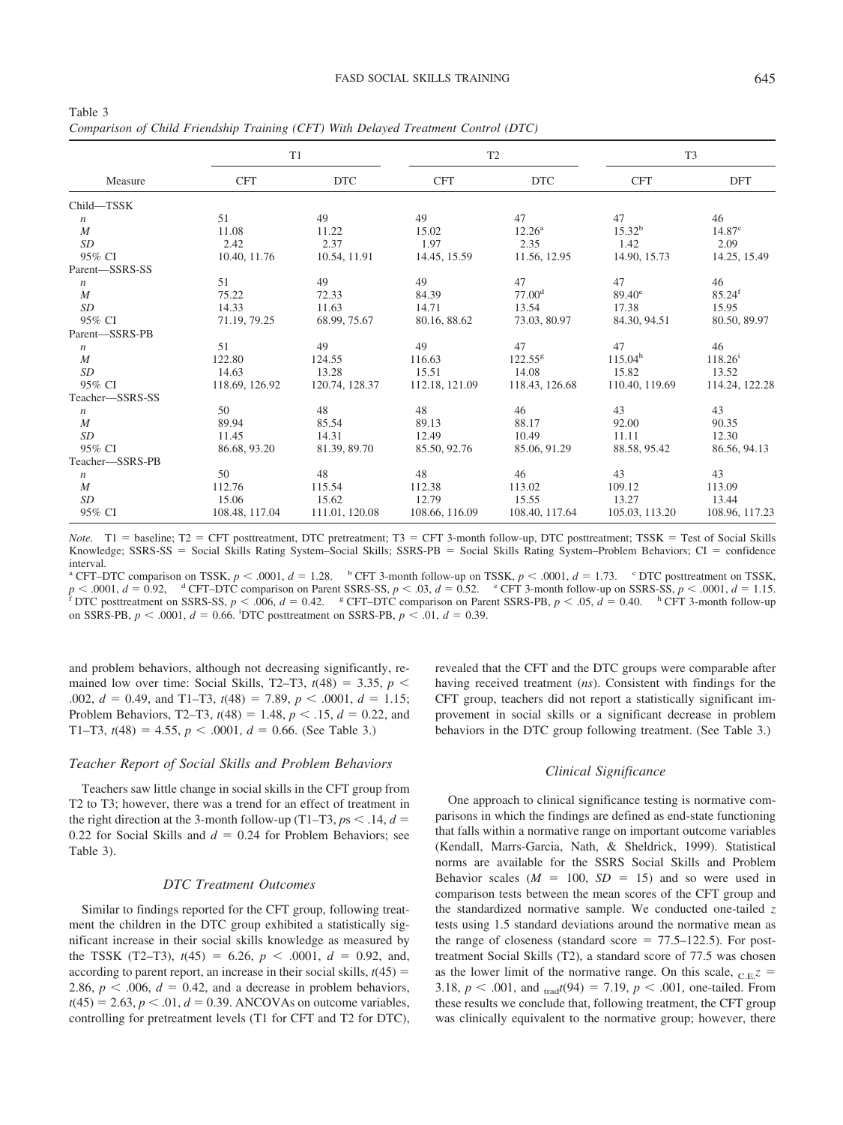| Table 3                                                                            |  |
|------------------------------------------------------------------------------------|--|
| Comparison of Child Friendship Training (CFT) With Delayed Treatment Control (DTC) |  |

|                  | T1             |                |                | T <sub>2</sub>     | T <sub>3</sub>      |                    |  |
|------------------|----------------|----------------|----------------|--------------------|---------------------|--------------------|--|
| Measure          | <b>CFT</b>     | <b>DTC</b>     | <b>CFT</b>     | <b>DTC</b>         | <b>CFT</b>          | <b>DFT</b>         |  |
| Child-TSSK       |                |                |                |                    |                     |                    |  |
| $\boldsymbol{n}$ | 51             | 49             | 49             | 47                 | 47                  | 46                 |  |
| $\overline{M}$   | 11.08          | 11.22          | 15.02          | $12.26^{\rm a}$    | 15.32 <sup>b</sup>  | $14.87^{\circ}$    |  |
| SD               | 2.42           | 2.37           | 1.97           | 2.35               | 1.42                | 2.09               |  |
| 95% CI           | 10.40, 11.76   | 10.54, 11.91   | 14.45, 15.59   | 11.56, 12.95       | 14.90, 15.73        | 14.25, 15.49       |  |
| Parent-SSRS-SS   |                |                |                |                    |                     |                    |  |
| $\boldsymbol{n}$ | 51             | 49             | 49             | 47                 | 47                  | 46                 |  |
| $\boldsymbol{M}$ | 75.22          | 72.33          | 84.39          | 77.00 <sup>d</sup> | $89.40^{\circ}$     | 85.24 <sup>f</sup> |  |
| SD               | 14.33          | 11.63          | 14.71          | 13.54              | 17.38               | 15.95              |  |
| 95% CI           | 71.19, 79.25   | 68.99, 75.67   | 80.16, 88.62   | 73.03, 80.97       | 84.30, 94.51        | 80.50, 89.97       |  |
| Parent-SSRS-PB   |                |                |                |                    |                     |                    |  |
| $\boldsymbol{n}$ | 51             | 49             | 49             | 47                 | 47                  | 46                 |  |
| M                | 122.80         | 124.55         | 116.63         | $122.55^{8}$       | 115.04 <sup>h</sup> | $118.26^i$         |  |
| SD               | 14.63          | 13.28          | 15.51          | 14.08              | 15.82               | 13.52              |  |
| 95% CI           | 118.69, 126.92 | 120.74, 128.37 | 112.18, 121.09 | 118.43, 126.68     | 110.40, 119.69      | 114.24, 122.28     |  |
| Teacher-SSRS-SS  |                |                |                |                    |                     |                    |  |
| $\boldsymbol{n}$ | 50             | 48             | 48             | 46                 | 43                  | 43                 |  |
| $\boldsymbol{M}$ | 89.94          | 85.54          | 89.13          | 88.17              | 92.00               | 90.35              |  |
| <b>SD</b>        | 11.45          | 14.31          | 12.49          | 10.49              | 11.11               | 12.30              |  |
| 95% CI           | 86.68, 93.20   | 81.39, 89.70   | 85.50, 92.76   | 85.06, 91.29       | 88.58, 95.42        | 86.56, 94.13       |  |
| Teacher-SSRS-PB  |                |                |                |                    |                     |                    |  |
| $\boldsymbol{n}$ | 50             | 48             | 48             | 46                 | 43                  | 43                 |  |
| $\boldsymbol{M}$ | 112.76         | 115.54         | 112.38         | 113.02             | 109.12              | 113.09             |  |
| SD               | 15.06          | 15.62          | 12.79          | 15.55              | 13.27               | 13.44              |  |
| 95% CI           | 108.48, 117.04 | 111.01, 120.08 | 108.66, 116.09 | 108.40, 117.64     | 105.03, 113.20      | 108.96, 117.23     |  |

*Note.* T1 = baseline; T2 = CFT posttreatment, DTC pretreatment; T3 = CFT 3-month follow-up, DTC posttreatment; TSSK = Test of Social Skills Knowledge; SSRS-SS = Social Skills Rating System–Social Skills; SSRS-PB = Social Skills Rating System–Problem Behaviors; CI = confidence interval.

<sup>a</sup> CFT–DTC comparison on TSSK,  $p < .0001$ ,  $d = 1.28$ . b CFT 3-month follow-up on TSSK,  $p < .0001$ ,  $d = 1.73$ . c DTC posttreatment on TSSK,  $p < .0001$ ,  $d = 0.92$ , d CFT–DTC comparison on Parent SSRS-SS,  $p < .03$ ,  $d = 0.52$ . c <sup>p</sup> S. 10001, a = 0.22, Cf 1 D to comparison on Facett SOLO EX, p 1.100, a series and SSRS-PB,  $p < .05$ ,  $d = 0.40$ . <sup>h</sup> CFT 3-month follow-up on SSRS-PB,  $p < .0001$ ,  $d = 0.66$ . <sup>i</sup>DTC posttreatment on SSRS-PB,  $p < .01$ ,  $d = 0.39$ .

and problem behaviors, although not decreasing significantly, remained low over time: Social Skills, T2–T3,  $t(48) = 3.35$ ,  $p <$ .002,  $d = 0.49$ , and T1–T3,  $t(48) = 7.89$ ,  $p < .0001$ ,  $d = 1.15$ ; Problem Behaviors, T2–T3,  $t(48) = 1.48$ ,  $p < .15$ ,  $d = 0.22$ , and T1–T3,  $t(48) = 4.55$ ,  $p < .0001$ ,  $d = 0.66$ . (See Table 3.)

# *Teacher Report of Social Skills and Problem Behaviors*

Teachers saw little change in social skills in the CFT group from T2 to T3; however, there was a trend for an effect of treatment in the right direction at the 3-month follow-up (T1–T3,  $ps < .14$ ,  $d =$ 0.22 for Social Skills and  $d = 0.24$  for Problem Behaviors; see Table 3).

### *DTC Treatment Outcomes*

Similar to findings reported for the CFT group, following treatment the children in the DTC group exhibited a statistically significant increase in their social skills knowledge as measured by the TSSK (T2–T3),  $t(45) = 6.26$ ,  $p < .0001$ ,  $d = 0.92$ , and, according to parent report, an increase in their social skills,  $t(45)$  = 2.86,  $p < .006$ ,  $d = 0.42$ , and a decrease in problem behaviors,  $t(45) = 2.63, p < .01, d = 0.39$ . ANCOVAs on outcome variables, controlling for pretreatment levels (T1 for CFT and T2 for DTC), revealed that the CFT and the DTC groups were comparable after having received treatment (*ns*). Consistent with findings for the CFT group, teachers did not report a statistically significant improvement in social skills or a significant decrease in problem behaviors in the DTC group following treatment. (See Table 3.)

# *Clinical Significance*

One approach to clinical significance testing is normative comparisons in which the findings are defined as end-state functioning that falls within a normative range on important outcome variables (Kendall, Marrs-Garcia, Nath, & Sheldrick, 1999). Statistical norms are available for the SSRS Social Skills and Problem Behavior scales  $(M = 100, SD = 15)$  and so were used in comparison tests between the mean scores of the CFT group and the standardized normative sample. We conducted one-tailed *z* tests using 1.5 standard deviations around the normative mean as the range of closeness (standard score  $= 77.5 - 122.5$ ). For posttreatment Social Skills (T2), a standard score of 77.5 was chosen as the lower limit of the normative range. On this scale,  $_{C}E$ <sup>z</sup> 3.18,  $p < .001$ , and  $_{\text{trad}}(94) = 7.19$ ,  $p < .001$ , one-tailed. From these results we conclude that, following treatment, the CFT group was clinically equivalent to the normative group; however, there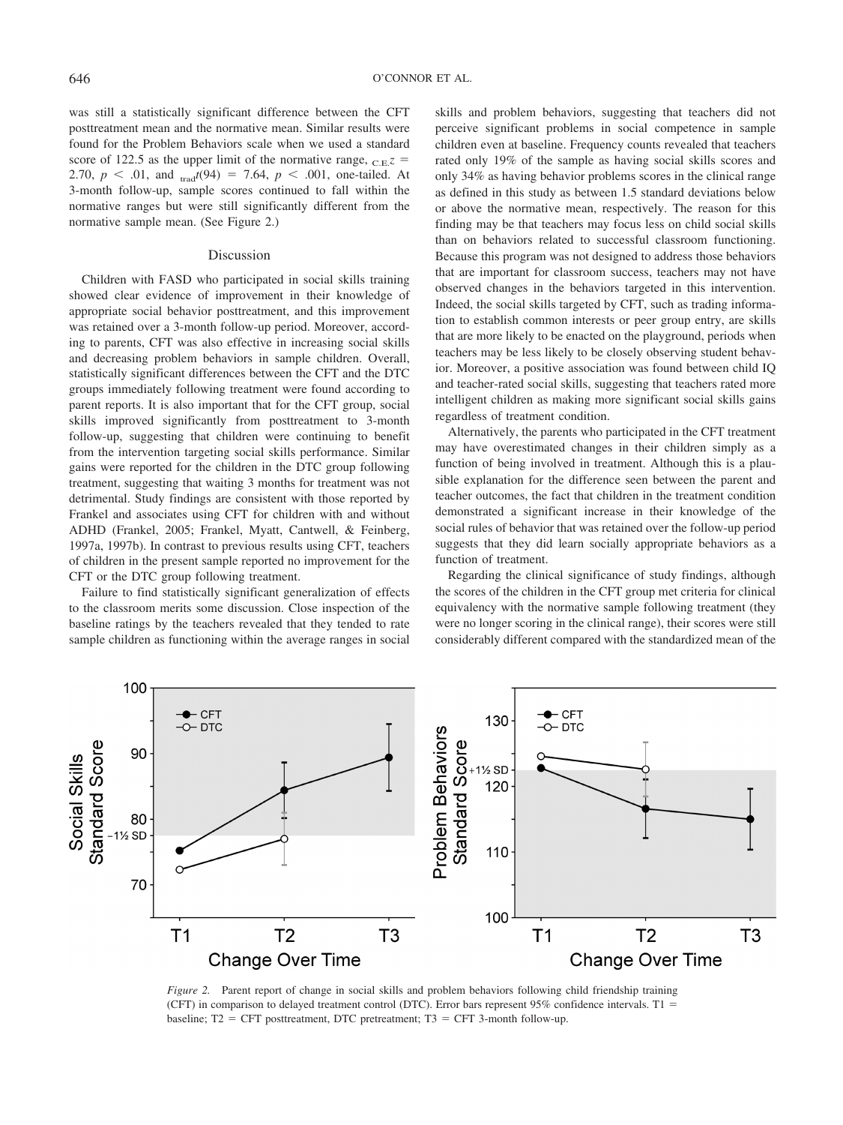was still a statistically significant difference between the CFT posttreatment mean and the normative mean. Similar results were found for the Problem Behaviors scale when we used a standard score of 122.5 as the upper limit of the normative range,  $_{C}E$ <sup> $z$ </sup> = 2.70,  $p < .01$ , and  $_{\text{trad}}(94) = 7.64$ ,  $p < .001$ , one-tailed. At 3-month follow-up, sample scores continued to fall within the normative ranges but were still significantly different from the normative sample mean. (See Figure 2.)

### Discussion

Children with FASD who participated in social skills training showed clear evidence of improvement in their knowledge of appropriate social behavior posttreatment, and this improvement was retained over a 3-month follow-up period. Moreover, according to parents, CFT was also effective in increasing social skills and decreasing problem behaviors in sample children. Overall, statistically significant differences between the CFT and the DTC groups immediately following treatment were found according to parent reports. It is also important that for the CFT group, social skills improved significantly from posttreatment to 3-month follow-up, suggesting that children were continuing to benefit from the intervention targeting social skills performance. Similar gains were reported for the children in the DTC group following treatment, suggesting that waiting 3 months for treatment was not detrimental. Study findings are consistent with those reported by Frankel and associates using CFT for children with and without ADHD (Frankel, 2005; Frankel, Myatt, Cantwell, & Feinberg, 1997a, 1997b). In contrast to previous results using CFT, teachers of children in the present sample reported no improvement for the CFT or the DTC group following treatment.

Failure to find statistically significant generalization of effects to the classroom merits some discussion. Close inspection of the baseline ratings by the teachers revealed that they tended to rate sample children as functioning within the average ranges in social skills and problem behaviors, suggesting that teachers did not perceive significant problems in social competence in sample children even at baseline. Frequency counts revealed that teachers rated only 19% of the sample as having social skills scores and only 34% as having behavior problems scores in the clinical range as defined in this study as between 1.5 standard deviations below or above the normative mean, respectively. The reason for this finding may be that teachers may focus less on child social skills than on behaviors related to successful classroom functioning. Because this program was not designed to address those behaviors that are important for classroom success, teachers may not have observed changes in the behaviors targeted in this intervention. Indeed, the social skills targeted by CFT, such as trading information to establish common interests or peer group entry, are skills that are more likely to be enacted on the playground, periods when teachers may be less likely to be closely observing student behavior. Moreover, a positive association was found between child IQ and teacher-rated social skills, suggesting that teachers rated more intelligent children as making more significant social skills gains regardless of treatment condition.

Alternatively, the parents who participated in the CFT treatment may have overestimated changes in their children simply as a function of being involved in treatment. Although this is a plausible explanation for the difference seen between the parent and teacher outcomes, the fact that children in the treatment condition demonstrated a significant increase in their knowledge of the social rules of behavior that was retained over the follow-up period suggests that they did learn socially appropriate behaviors as a function of treatment.

Regarding the clinical significance of study findings, although the scores of the children in the CFT group met criteria for clinical equivalency with the normative sample following treatment (they were no longer scoring in the clinical range), their scores were still considerably different compared with the standardized mean of the



*Figure 2.* Parent report of change in social skills and problem behaviors following child friendship training (CFT) in comparison to delayed treatment control (DTC). Error bars represent 95% confidence intervals. T1 = baseline;  $T2 = CFT$  posttreatment, DTC pretreatment;  $T3 = CFT$  3-month follow-up.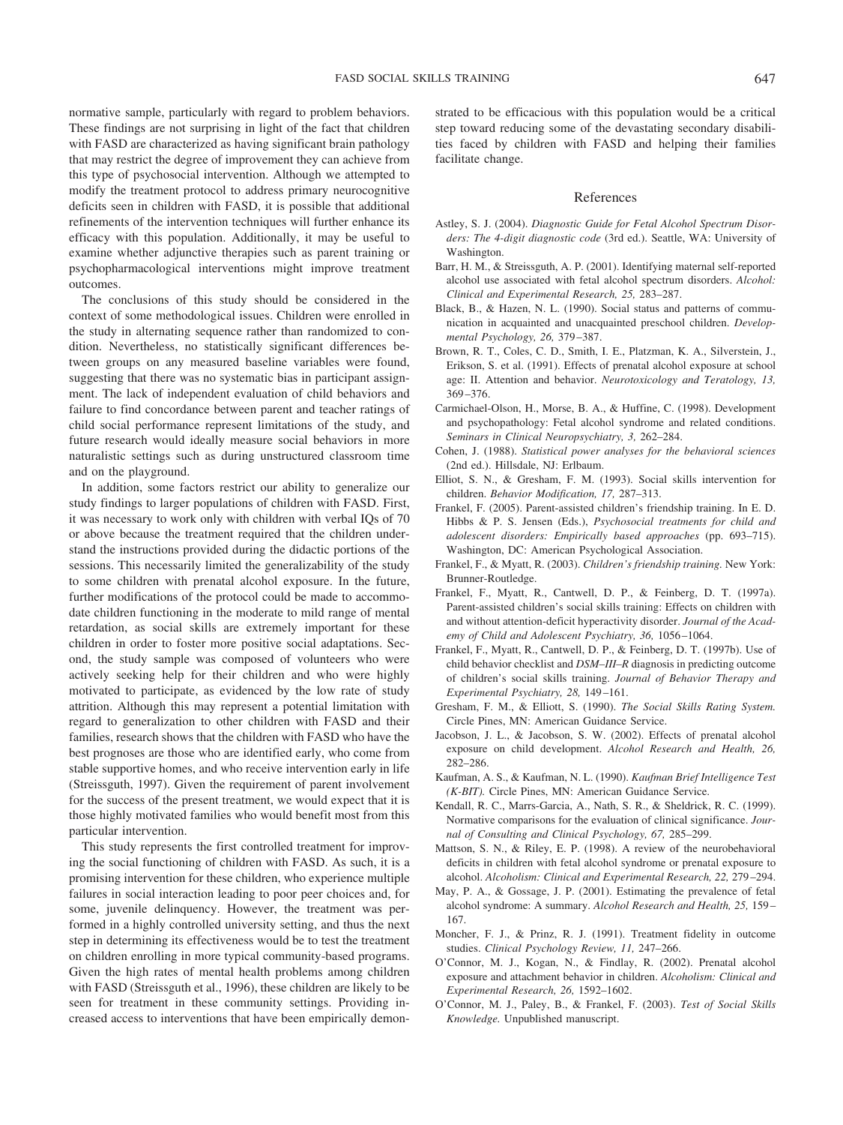normative sample, particularly with regard to problem behaviors. These findings are not surprising in light of the fact that children with FASD are characterized as having significant brain pathology that may restrict the degree of improvement they can achieve from this type of psychosocial intervention. Although we attempted to modify the treatment protocol to address primary neurocognitive deficits seen in children with FASD, it is possible that additional refinements of the intervention techniques will further enhance its efficacy with this population. Additionally, it may be useful to examine whether adjunctive therapies such as parent training or psychopharmacological interventions might improve treatment outcomes.

The conclusions of this study should be considered in the context of some methodological issues. Children were enrolled in the study in alternating sequence rather than randomized to condition. Nevertheless, no statistically significant differences between groups on any measured baseline variables were found, suggesting that there was no systematic bias in participant assignment. The lack of independent evaluation of child behaviors and failure to find concordance between parent and teacher ratings of child social performance represent limitations of the study, and future research would ideally measure social behaviors in more naturalistic settings such as during unstructured classroom time and on the playground.

In addition, some factors restrict our ability to generalize our study findings to larger populations of children with FASD. First, it was necessary to work only with children with verbal IQs of 70 or above because the treatment required that the children understand the instructions provided during the didactic portions of the sessions. This necessarily limited the generalizability of the study to some children with prenatal alcohol exposure. In the future, further modifications of the protocol could be made to accommodate children functioning in the moderate to mild range of mental retardation, as social skills are extremely important for these children in order to foster more positive social adaptations. Second, the study sample was composed of volunteers who were actively seeking help for their children and who were highly motivated to participate, as evidenced by the low rate of study attrition. Although this may represent a potential limitation with regard to generalization to other children with FASD and their families, research shows that the children with FASD who have the best prognoses are those who are identified early, who come from stable supportive homes, and who receive intervention early in life (Streissguth, 1997). Given the requirement of parent involvement for the success of the present treatment, we would expect that it is those highly motivated families who would benefit most from this particular intervention.

This study represents the first controlled treatment for improving the social functioning of children with FASD. As such, it is a promising intervention for these children, who experience multiple failures in social interaction leading to poor peer choices and, for some, juvenile delinquency. However, the treatment was performed in a highly controlled university setting, and thus the next step in determining its effectiveness would be to test the treatment on children enrolling in more typical community-based programs. Given the high rates of mental health problems among children with FASD (Streissguth et al., 1996), these children are likely to be seen for treatment in these community settings. Providing increased access to interventions that have been empirically demonstrated to be efficacious with this population would be a critical step toward reducing some of the devastating secondary disabilities faced by children with FASD and helping their families facilitate change.

### References

- Astley, S. J. (2004). *Diagnostic Guide for Fetal Alcohol Spectrum Disorders: The 4-digit diagnostic code* (3rd ed.). Seattle, WA: University of Washington.
- Barr, H. M., & Streissguth, A. P. (2001). Identifying maternal self-reported alcohol use associated with fetal alcohol spectrum disorders. *Alcohol: Clinical and Experimental Research, 25,* 283–287.
- Black, B., & Hazen, N. L. (1990). Social status and patterns of communication in acquainted and unacquainted preschool children. *Developmental Psychology, 26,* 379 –387.
- Brown, R. T., Coles, C. D., Smith, I. E., Platzman, K. A., Silverstein, J., Erikson, S. et al. (1991). Effects of prenatal alcohol exposure at school age: II. Attention and behavior. *Neurotoxicology and Teratology, 13,* 369 –376.
- Carmichael-Olson, H., Morse, B. A., & Huffine, C. (1998). Development and psychopathology: Fetal alcohol syndrome and related conditions. *Seminars in Clinical Neuropsychiatry, 3,* 262–284.
- Cohen, J. (1988). *Statistical power analyses for the behavioral sciences* (2nd ed.). Hillsdale, NJ: Erlbaum.
- Elliot, S. N., & Gresham, F. M. (1993). Social skills intervention for children. *Behavior Modification, 17,* 287–313.
- Frankel, F. (2005). Parent-assisted children's friendship training. In E. D. Hibbs & P. S. Jensen (Eds.), *Psychosocial treatments for child and adolescent disorders: Empirically based approaches* (pp. 693–715). Washington, DC: American Psychological Association.
- Frankel, F., & Myatt, R. (2003). *Children's friendship training.* New York: Brunner-Routledge.
- Frankel, F., Myatt, R., Cantwell, D. P., & Feinberg, D. T. (1997a). Parent-assisted children's social skills training: Effects on children with and without attention-deficit hyperactivity disorder. *Journal of the Academy of Child and Adolescent Psychiatry, 36,* 1056 –1064.
- Frankel, F., Myatt, R., Cantwell, D. P., & Feinberg, D. T. (1997b). Use of child behavior checklist and *DSM–III–R* diagnosis in predicting outcome of children's social skills training. *Journal of Behavior Therapy and Experimental Psychiatry, 28,* 149 –161.
- Gresham, F. M., & Elliott, S. (1990). *The Social Skills Rating System.* Circle Pines, MN: American Guidance Service.
- Jacobson, J. L., & Jacobson, S. W. (2002). Effects of prenatal alcohol exposure on child development. *Alcohol Research and Health, 26,* 282–286.
- Kaufman, A. S., & Kaufman, N. L. (1990). *Kaufman Brief Intelligence Test (K-BIT).* Circle Pines, MN: American Guidance Service.
- Kendall, R. C., Marrs-Garcia, A., Nath, S. R., & Sheldrick, R. C. (1999). Normative comparisons for the evaluation of clinical significance. *Journal of Consulting and Clinical Psychology, 67,* 285–299.
- Mattson, S. N., & Riley, E. P. (1998). A review of the neurobehavioral deficits in children with fetal alcohol syndrome or prenatal exposure to alcohol. *Alcoholism: Clinical and Experimental Research, 22,* 279 –294.
- May, P. A., & Gossage, J. P. (2001). Estimating the prevalence of fetal alcohol syndrome: A summary. *Alcohol Research and Health, 25,* 159 – 167.
- Moncher, F. J., & Prinz, R. J. (1991). Treatment fidelity in outcome studies. *Clinical Psychology Review, 11,* 247–266.
- O'Connor, M. J., Kogan, N., & Findlay, R. (2002). Prenatal alcohol exposure and attachment behavior in children. *Alcoholism: Clinical and Experimental Research, 26,* 1592–1602.
- O'Connor, M. J., Paley, B., & Frankel, F. (2003). *Test of Social Skills Knowledge.* Unpublished manuscript.